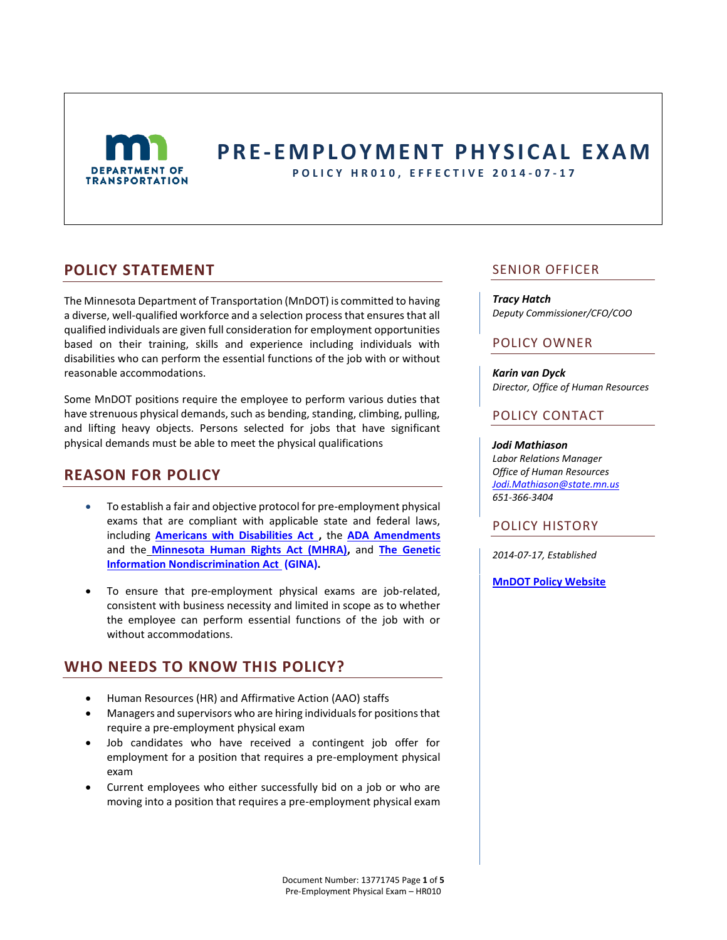

# **P R E - E M P L O Y M E N T P H Y S I C A L E X A M**

**P O L I C Y H R 0 1 0 , E F F E C T I V E 2014 - 0 7 - 1 7**

### **POLICY STATEMENT**

The Minnesota Department of Transportation (MnDOT) is committed to having a diverse, well-qualified workforce and a selection process that ensures that all qualified individuals are given full consideration for employment opportunities based on their training, skills and experience including individuals with disabilities who can perform the essential functions of the job with or without reasonable accommodations.

Some MnDOT positions require the employee to perform various duties that have strenuous physical demands, such as bending, standing, climbing, pulling, and lifting heavy objects. Persons selected for jobs that have significant physical demands must be able to meet the physical qualifications

# **REASON FOR POLICY**

- To establish a fair and objective protocol for pre-employment physical exams that are compliant with applicable state and federal laws, including **[Americans with Disabilities Act ,](http://www.dol.gov/dol/topic/disability/ada.htm)** the **[ADA Amendments](http://www.dol.gov/ofccp/regs/compliance/faqs/ADAfaqs.htm)**  and the **[Minnesota Human Rights Act \(MHRA\),](https://www.revisor.mn.gov/statutes/?id=363A)** and **[The Genetic](http://www.eeoc.gov/laws/statutes/gina.cfm)  [Information Nondiscrimination Act \(](http://www.eeoc.gov/laws/statutes/gina.cfm)GINA).**
- To ensure that pre-employment physical exams are job-related, consistent with business necessity and limited in scope as to whether the employee can perform essential functions of the job with or without accommodations.

### **WHO NEEDS TO KNOW THIS POLICY?**

- Human Resources (HR) and Affirmative Action (AAO) staffs
- Managers and supervisors who are hiring individuals for positions that require a pre-employment physical exam
- Job candidates who have received a contingent job offer for employment for a position that requires a pre-employment physical exam
- Current employees who either successfully bid on a job or who are moving into a position that requires a pre-employment physical exam

### SENIOR OFFICER

#### *Tracy Hatch*

*Deputy Commissioner/CFO/COO*

### POLICY OWNER

*Karin van Dyck Director, Office of Human Resources*

### POLICY CONTACT

#### *Jodi Mathiason*

*Labor Relations Manager Office of Human Resources [Jodi.Mathiason@state.mn.us](mailto:Jodi.mathiason@state.mn.us) 651-366-3404*

### POLICY HISTORY

*2014-07-17, Established*

**[MnDOT Policy Website](http://www.dot.state.mn.us/policy/index.html)**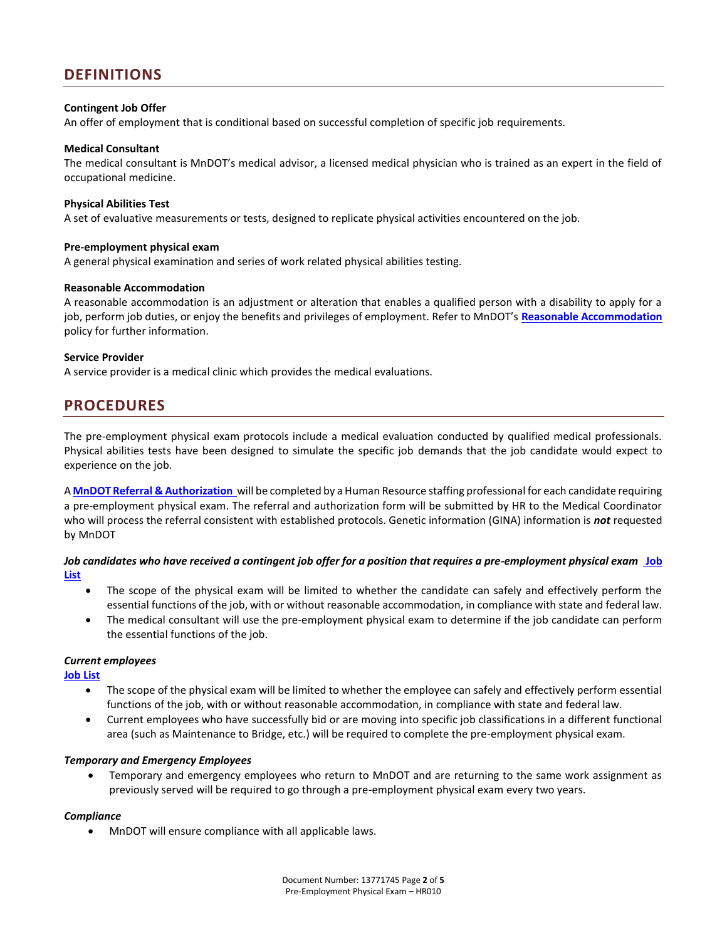### **DEFINITIONS**

#### **Contingent Job Offer**

An offer of employment that is conditional based on successful completion of specific job requirements.

#### **Medical Consultant**

The medical consultant is MnDOT's medical advisor, a licensed medical physician who is trained as an expert in the field of occupational medicine.

#### **Physical Abilities Test**

A set of evaluative measurements or tests, designed to replicate physical activities encountered on the job.

#### **Pre-employment physical exam**

A general physical examination and series of work related physical abilities testing.

#### **Reasonable Accommodation**

A reasonable accommodation is an adjustment or alteration that enables a qualified person with a disability to apply for a job, perform job duties, or enjoy the benefits and privileges of employment. Refer to MnDOT's **[Reasonable Accommodation](http://www.dot.state.mn.us/policy/hr/hr009.html)** policy for further information.

#### **Service Provider**

A service provider is a medical clinic which provides the medical evaluations.

### **PROCEDURES**

The pre-employment physical exam protocols include a medical evaluation conducted by qualified medical professionals. Physical abilities tests have been designed to simulate the specific job demands that the job candidate would expect to experience on the job.

A **[MnDOT Referral & Authorization](http://dotapp7.dot.state.mn.us/cyberdocs_guest/quickstart.asp?show=view:1441006&noframes=yes)** will be completed by a Human Resource staffing professional for each candidate requiring a pre-employment physical exam. The referral and authorization form will be submitted by HR to the Medical Coordinator who will process the referral consistent with established protocols. Genetic information (GINA) information is *not* requested by MnDOT

*Job candidates who have received a contingent job offer for a position that requires a pre-employment physical exam* **[Job](http://dotapp7.dot.state.mn.us/cyberdocs_guest/quickstart.asp?show=view:1442885&noframes=yes)  [List](http://dotapp7.dot.state.mn.us/cyberdocs_guest/quickstart.asp?show=view:1442885&noframes=yes)**

- The scope of the physical exam will be limited to whether the candidate can safely and effectively perform the essential functions of the job, with or without reasonable accommodation, in compliance with state and federal law.
- The medical consultant will use the pre-employment physical exam to determine if the job candidate can perform the essential functions of the job.

#### *Current employees*

**[Job List](http://dotapp7.dot.state.mn.us/cyberdocs_guest/quickstart.asp?show=view:1442885&noframes=yes)** 

- The scope of the physical exam will be limited to whether the employee can safely and effectively perform essential functions of the job, with or without reasonable accommodation, in compliance with state and federal law.
- Current employees who have successfully bid or are moving into specific job classifications in a different functional area (such as Maintenance to Bridge, etc.) will be required to complete the pre-employment physical exam.

### *Temporary and Emergency Employees*

 Temporary and emergency employees who return to MnDOT and are returning to the same work assignment as previously served will be required to go through a pre-employment physical exam every two years.

### *Compliance*

MnDOT will ensure compliance with all applicable laws.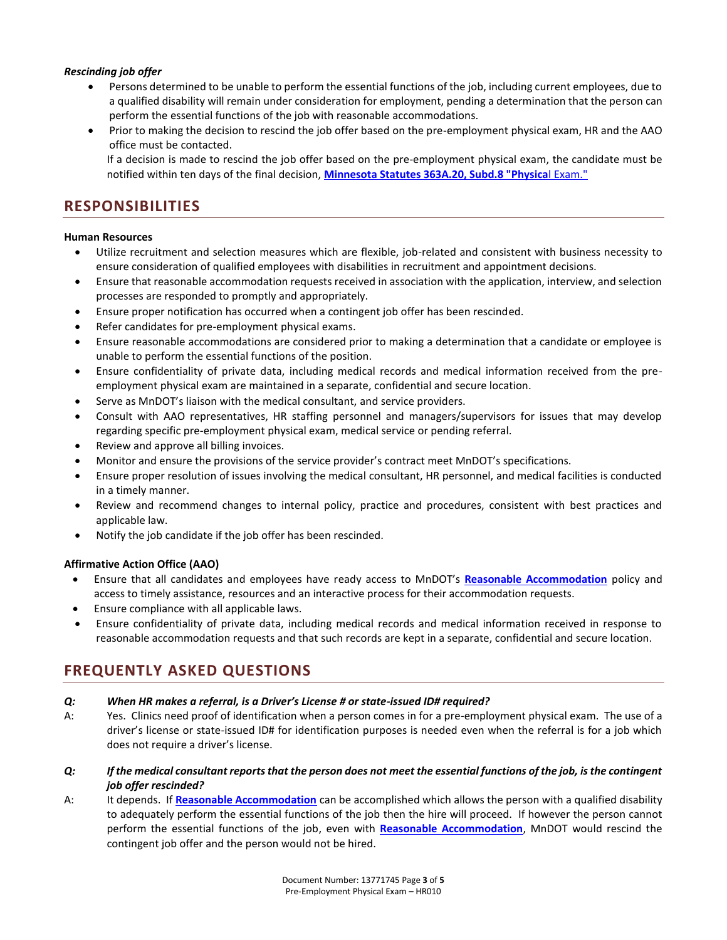### *Rescinding job offer*

- Persons determined to be unable to perform the essential functions of the job, including current employees, due to a qualified disability will remain under consideration for employment, pending a determination that the person can perform the essential functions of the job with reasonable accommodations.
- Prior to making the decision to rescind the job offer based on the pre-employment physical exam, HR and the AAO office must be contacted.

If a decision is made to rescind the job offer based on the pre-employment physical exam, the candidate must be notified within ten days of the final decision, **[Minnesota Statutes 363A.20, Subd.8 "Physica](https://www.revisor.mn.gov/statutes/?id=363a.20)**l Exam."

### **RESPONSIBILITIES**

### **Human Resources**

- Utilize recruitment and selection measures which are flexible, job-related and consistent with business necessity to ensure consideration of qualified employees with disabilities in recruitment and appointment decisions.
- Ensure that reasonable accommodation requests received in association with the application, interview, and selection processes are responded to promptly and appropriately.
- Ensure proper notification has occurred when a contingent job offer has been rescinded.
- Refer candidates for pre-employment physical exams.
- Ensure reasonable accommodations are considered prior to making a determination that a candidate or employee is unable to perform the essential functions of the position.
- Ensure confidentiality of private data, including medical records and medical information received from the preemployment physical exam are maintained in a separate, confidential and secure location.
- Serve as MnDOT's liaison with the medical consultant, and service providers.
- Consult with AAO representatives, HR staffing personnel and managers/supervisors for issues that may develop regarding specific pre-employment physical exam, medical service or pending referral.
- Review and approve all billing invoices.
- Monitor and ensure the provisions of the service provider's contract meet MnDOT's specifications.
- Ensure proper resolution of issues involving the medical consultant, HR personnel, and medical facilities is conducted in a timely manner.
- Review and recommend changes to internal policy, practice and procedures, consistent with best practices and applicable law.
- Notify the job candidate if the job offer has been rescinded.

### **Affirmative Action Office (AAO)**

- Ensure that all candidates and employees have ready access to MnDOT's **[Reasonable Accommodation](http://www.dot.state.mn.us/policy/hr/hr009.html)** policy and access to timely assistance, resources and an interactive process for their accommodation requests.
- Ensure compliance with all applicable laws.
- Ensure confidentiality of private data, including medical records and medical information received in response to reasonable accommodation requests and that such records are kept in a separate, confidential and secure location.

# **FREQUENTLY ASKED QUESTIONS**

### *Q: When HR makes a referral, is a Driver's License # or state-issued ID# required?*

- A: Yes. Clinics need proof of identification when a person comes in for a pre-employment physical exam. The use of a driver's license or state-issued ID# for identification purposes is needed even when the referral is for a job which does not require a driver's license.
- *Q: If the medical consultant reports that the person does not meet the essential functions of the job, is the contingent job offer rescinded?*
- A: It depends. If **[Reasonable Accommodation](http://www.dot.state.mn.us/policy/hr/hr009.html)** can be accomplished which allows the person with a qualified disability to adequately perform the essential functions of the job then the hire will proceed. If however the person cannot perform the essential functions of the job, even with **[Reasonable Accommodation](http://www.dot.state.mn.us/policy/hr/hr009.html)**, MnDOT would rescind the contingent job offer and the person would not be hired.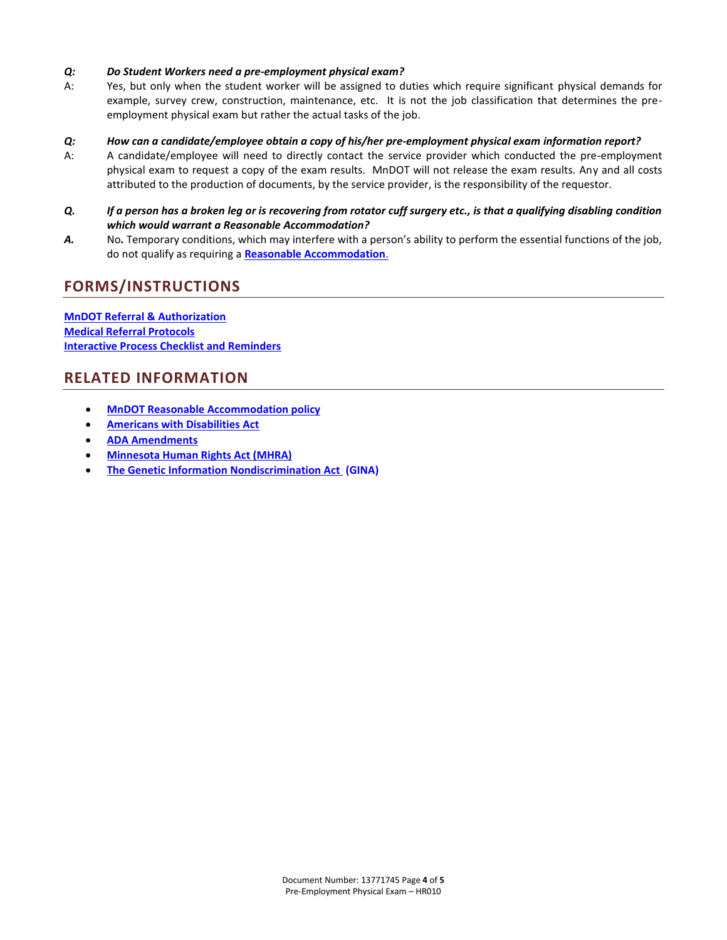### *Q: Do Student Workers need a pre-employment physical exam?*

A: Yes, but only when the student worker will be assigned to duties which require significant physical demands for example, survey crew, construction, maintenance, etc. It is not the job classification that determines the preemployment physical exam but rather the actual tasks of the job.

### *Q: How can a candidate/employee obtain a copy of his/her pre-employment physical exam information report?*

- A: A candidate/employee will need to directly contact the service provider which conducted the pre-employment physical exam to request a copy of the exam results. MnDOT will not release the exam results. Any and all costs attributed to the production of documents, by the service provider, is the responsibility of the requestor.
- *Q. If a person has a broken leg or is recovering from rotator cuff surgery etc., is that a qualifying disabling condition which would warrant a Reasonable Accommodation?*
- A. No. Temporary conditions, which may interfere with a person's ability to perform the essential functions of the job, do not qualify as requiring a **[Reasonable Accommodation](http://www.dot.state.mn.us/policy/hr/hr009.html)**.

## **FORMS/INSTRUCTIONS**

**[MnDOT Referral & Authorization](http://dotapp7.dot.state.mn.us/cyberdocs_guest/quickstart.asp?show=view:1441006&noframes=yes)  [Medical Referral Protocols](http://dotapp7.dot.state.mn.us/cyberdocs_guest/quickstart.asp?show=view:1441007&noframes=yes) [Interactive Process Checklist and Reminders](http://dotapp7.dot.state.mn.us/cyberdocs_guest/quickstart.asp?show=view:1388225&noframes=yes)**

### **RELATED INFORMATION**

- **[MnDOT Reasonable Accommodation policy](http://www.dot.state.mn.us/policy/hr/hr009.html)**
- **[Americans with Disabilities Act](http://www.dol.gov/dol/topic/disability/ada.htm)**
- **[ADA Amendments](http://www.dol.gov/ofccp/regs/compliance/faqs/ADAfaqs.htm)**
- **[Minnesota Human Rights Act \(MHRA\)](https://www.revisor.mn.gov/statutes/?id=363A)**
- **[The Genetic Information Nondiscrimination Act](http://www.eeoc.gov/laws/statutes/gina.cfm) (GINA)**